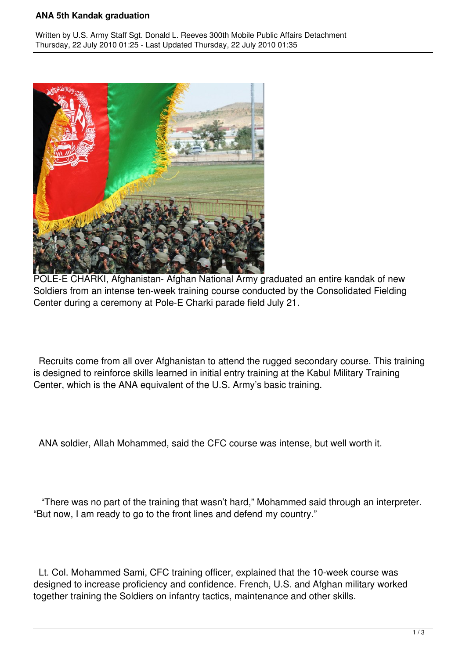## **ANA 5th Kandak graduation**

Written by U.S. Army Staff Sgt. Donald L. Reeves 300th Mobile Public Affairs Detachment Thursday, 22 July 2010 01:25 - Last Updated Thursday, 22 July 2010 01:35



POLE-E CHARKI, Afghanistan- Afghan National Army graduated an entire kandak of new Soldiers from an intense ten-week training course conducted by the Consolidated Fielding Center during a ceremony at Pole-E Charki parade field July 21.

 Recruits come from all over Afghanistan to attend the rugged secondary course. This training is designed to reinforce skills learned in initial entry training at the Kabul Military Training Center, which is the ANA equivalent of the U.S. Army's basic training.

ANA soldier, Allah Mohammed, said the CFC course was intense, but well worth it.

 "There was no part of the training that wasn't hard," Mohammed said through an interpreter. "But now, I am ready to go to the front lines and defend my country."

 Lt. Col. Mohammed Sami, CFC training officer, explained that the 10-week course was designed to increase proficiency and confidence. French, U.S. and Afghan military worked together training the Soldiers on infantry tactics, maintenance and other skills.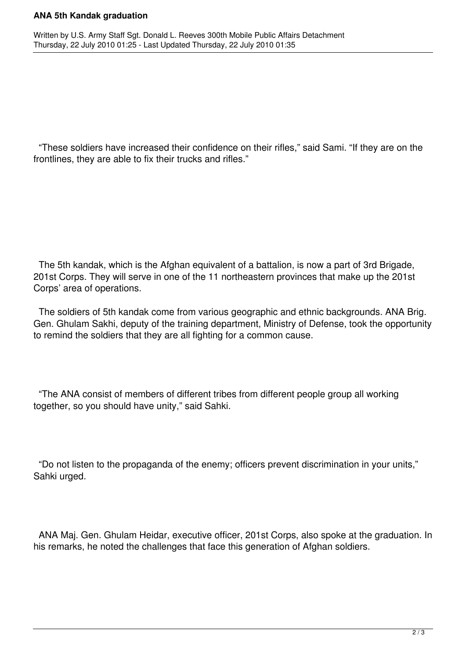## **ANA 5th Kandak graduation**

 "These soldiers have increased their confidence on their rifles," said Sami. "If they are on the frontlines, they are able to fix their trucks and rifles."

 The 5th kandak, which is the Afghan equivalent of a battalion, is now a part of 3rd Brigade, 201st Corps. They will serve in one of the 11 northeastern provinces that make up the 201st Corps' area of operations.

 The soldiers of 5th kandak come from various geographic and ethnic backgrounds. ANA Brig. Gen. Ghulam Sakhi, deputy of the training department, Ministry of Defense, took the opportunity to remind the soldiers that they are all fighting for a common cause.

 "The ANA consist of members of different tribes from different people group all working together, so you should have unity," said Sahki.

 "Do not listen to the propaganda of the enemy; officers prevent discrimination in your units," Sahki urged.

 ANA Maj. Gen. Ghulam Heidar, executive officer, 201st Corps, also spoke at the graduation. In his remarks, he noted the challenges that face this generation of Afghan soldiers.